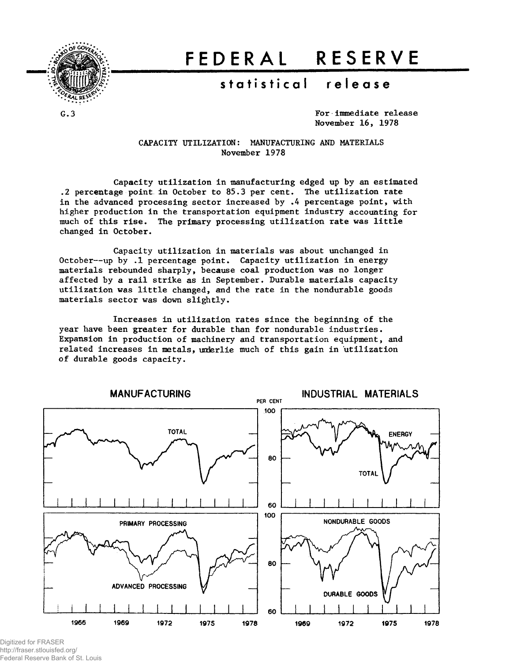

# **FEDERA L RESERV E**

## **statistica l releas e**

**G.3**

**For immediate release November 16, 1978**

CAPACITY UTILIZATION: MANUFACTURING AND MATERIALS November 1978

Capacity utilization in manufacturing edged up by an estimated .2 percentage point in October to 85.3 per cent. The utilization rate in the advanced processing sector increased by .4 percentage point, with higher production in the transportation equipment industry accounting for much of this rise. The primary processing utilization rate was little changed in October.

Capacity utilization in materials was about unchanged in October--up by .1 percentage point. Capacity utilization in energy materials rebounded sharply, because coal production was no longer affected by a rail strike as in September. Durable materials capacity utilization was little changed, and the rate in the nondurable goods materials sector was down slightly.

Increases in utilization rates since the beginning of the year have been greater for durable than for nondurable industries. Expansion in production of machinery and transportation equipment, and related increases in metals, underlie much of this gain in utilization of durable goods capacity.



Digitized for FRASER http://fraser.stlouisfed.org/ Federal Reserve Bank of St. Louis